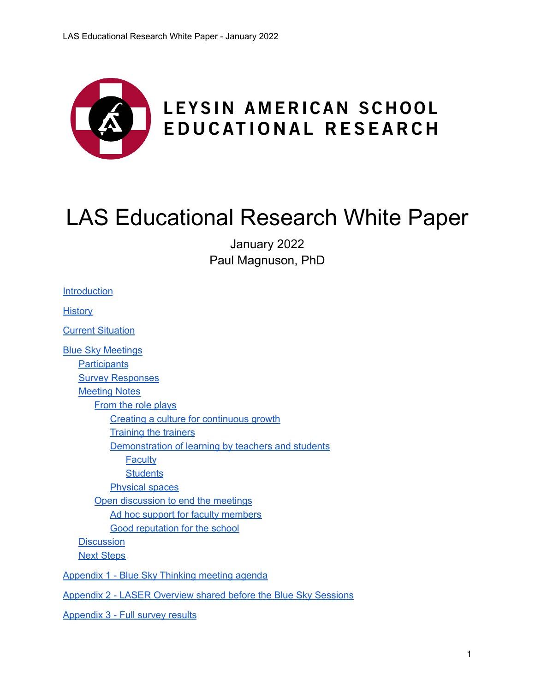

# LAS Educational Research White Paper

January 2022 Paul Magnuson, PhD

| <b>Introduction</b>                                             |
|-----------------------------------------------------------------|
| <u>History</u>                                                  |
| <b>Current Situation</b>                                        |
| <b>Blue Sky Meetings</b>                                        |
| <b>Participants</b>                                             |
| <b>Survey Responses</b>                                         |
| <b>Meeting Notes</b>                                            |
| <b>From the role plays</b>                                      |
| Creating a culture for continuous growth                        |
| <b>Training the trainers</b>                                    |
| Demonstration of learning by teachers and students              |
| <b>Faculty</b>                                                  |
| <b>Students</b>                                                 |
| <b>Physical spaces</b>                                          |
| Open discussion to end the meetings                             |
| Ad hoc support for faculty members                              |
| <b>Good reputation for the school</b>                           |
| <b>Discussion</b>                                               |
| <b>Next Steps</b>                                               |
| Appendix 1 - Blue Sky Thinking meeting agenda                   |
| Appendix 2 - LASER Overview shared before the Blue Sky Sessions |
| Appendix 3 - Full survey results                                |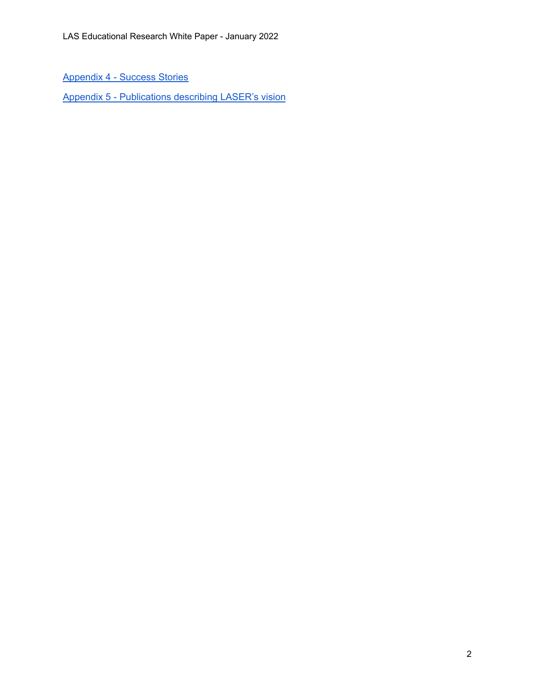[Appendix](#page-22-0) 4 - Success Stories

Appendix 5 - [Publications](#page-26-0) describing LASER's vision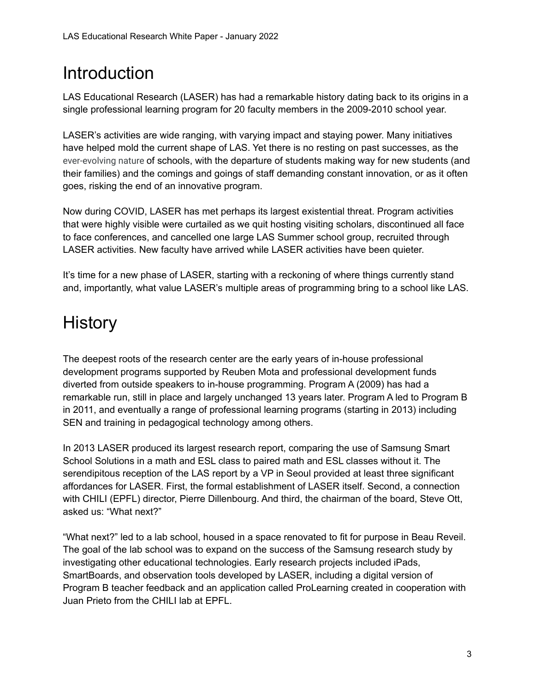## <span id="page-2-0"></span>Introduction

LAS Educational Research (LASER) has had a remarkable history dating back to its origins in a single professional learning program for 20 faculty members in the 2009-2010 school year.

LASER's activities are wide ranging, with varying impact and staying power. Many initiatives have helped mold the current shape of LAS. Yet there is no resting on past successes, as the ever-evolving nature of schools, with the departure of students making way for new students (and their families) and the comings and goings of staff demanding constant innovation, or as it often goes, risking the end of an innovative program.

Now during COVID, LASER has met perhaps its largest existential threat. Program activities that were highly visible were curtailed as we quit hosting visiting scholars, discontinued all face to face conferences, and cancelled one large LAS Summer school group, recruited through LASER activities. New faculty have arrived while LASER activities have been quieter.

It's time for a new phase of LASER, starting with a reckoning of where things currently stand and, importantly, what value LASER's multiple areas of programming bring to a school like LAS.

## <span id="page-2-1"></span>**History**

The deepest roots of the research center are the early years of in-house professional development programs supported by Reuben Mota and professional development funds diverted from outside speakers to in-house programming. Program A (2009) has had a remarkable run, still in place and largely unchanged 13 years later. Program A led to Program B in 2011, and eventually a range of professional learning programs (starting in 2013) including SEN and training in pedagogical technology among others.

In 2013 LASER produced its largest research report, comparing the use of Samsung Smart School Solutions in a math and ESL class to paired math and ESL classes without it. The serendipitous reception of the LAS report by a VP in Seoul provided at least three significant affordances for LASER. First, the formal establishment of LASER itself. Second, a connection with CHILI (EPFL) director, Pierre Dillenbourg. And third, the chairman of the board, Steve Ott, asked us: "What next?"

"What next?" led to a lab school, housed in a space renovated to fit for purpose in Beau Reveil. The goal of the lab school was to expand on the success of the Samsung research study by investigating other educational technologies. Early research projects included iPads, SmartBoards, and observation tools developed by LASER, including a digital version of Program B teacher feedback and an application called ProLearning created in cooperation with Juan Prieto from the CHILI lab at EPFL.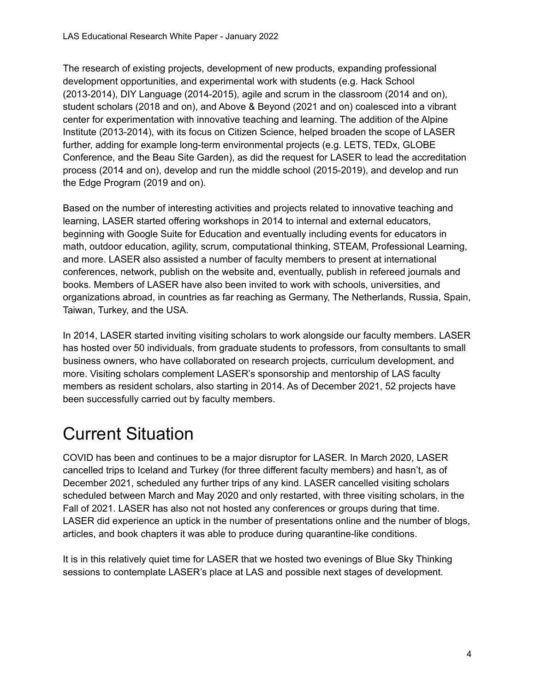The research of existing projects, development of new products, expanding professional development opportunities, and experimental work with students (e.g. Hack School (2013-2014), DIY Language (2014-2015), agile and scrum in the classroom (2014 and on), student scholars (2018 and on), and Above & Beyond (2021 and on) coalesced into a vibrant center for experimentation with innovative teaching and learning. The addition of the Alpine Institute (2013-2014), with its focus on Citizen Science, helped broaden the scope of LASER further, adding for example long-term environmental projects (e.g. LETS, TEDx, GLOBE Conference, and the Beau Site Garden), as did the request for LASER to lead the accreditation process (2014 and on), develop and run the middle school (2015-2019), and develop and run the Edge Program (2019 and on).

Based on the number of interesting activities and projects related to innovative teaching and learning, LASER started offering workshops in 2014 to internal and external educators, beginning with Google Suite for Education and eventually including events for educators in math, outdoor education, agility, scrum, computational thinking, STEAM, Professional Learning, and more. LASER also assisted a number of faculty members to present at international conferences, network, publish on the website and, eventually, publish in refereed journals and books. Members of LASER have also been invited to work with schools, universities, and organizations abroad, in countries as far reaching as Germany, The Netherlands, Russia, Spain, Taiwan, Turkey, and the USA.

In 2014, LASER started inviting visiting scholars to work alongside our faculty members. LASER has hosted over 50 individuals, from graduate students to professors, from consultants to small business owners, who have collaborated on research projects, curriculum development, and more. Visiting scholars complement LASER's sponsorship and mentorship of LAS faculty members as resident scholars, also starting in 2014. As of December 2021, 52 projects have been successfully carried out by faculty members.

## <span id="page-3-0"></span>Current Situation

COVID has been and continues to be a major disruptor for LASER. In March 2020, LASER cancelled trips to Iceland and Turkey (for three different faculty members) and hasn't, as of December 2021, scheduled any further trips of any kind. LASER cancelled visiting scholars scheduled between March and May 2020 and only restarted, with three visiting scholars, in the Fall of 2021. LASER has also not not hosted any conferences or groups during that time. LASER did experience an uptick in the number of presentations online and the number of blogs, articles, and book chapters it was able to produce during quarantine-like conditions.

It is in this relatively quiet time for LASER that we hosted two evenings of Blue Sky Thinking sessions to contemplate LASER's place at LAS and possible next stages of development.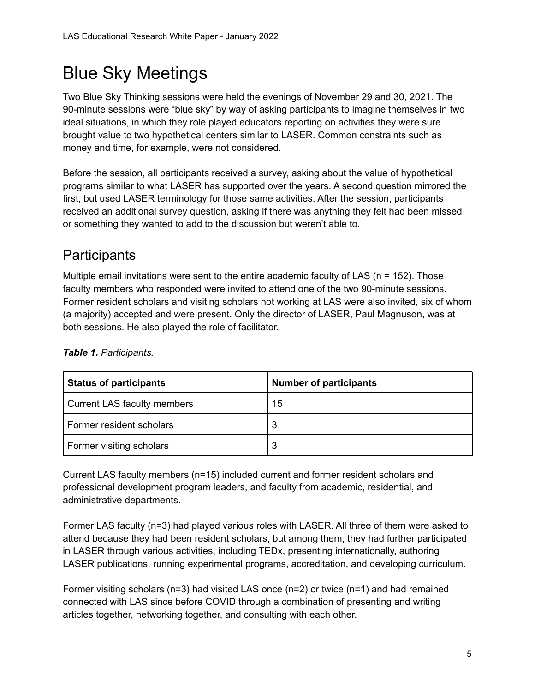## <span id="page-4-0"></span>Blue Sky Meetings

Two Blue Sky Thinking sessions were held the evenings of November 29 and 30, 2021. The 90-minute sessions were "blue sky" by way of asking participants to imagine themselves in two ideal situations, in which they role played educators reporting on activities they were sure brought value to two hypothetical centers similar to LASER. Common constraints such as money and time, for example, were not considered.

Before the session, all participants received a survey, asking about the value of hypothetical programs similar to what LASER has supported over the years. A second question mirrored the first, but used LASER terminology for those same activities. After the session, participants received an additional survey question, asking if there was anything they felt had been missed or something they wanted to add to the discussion but weren't able to.

### <span id="page-4-1"></span>**Participants**

Multiple email invitations were sent to the entire academic faculty of LAS ( $n = 152$ ). Those faculty members who responded were invited to attend one of the two 90-minute sessions. Former resident scholars and visiting scholars not working at LAS were also invited, six of whom (a majority) accepted and were present. Only the director of LASER, Paul Magnuson, was at both sessions. He also played the role of facilitator.

| <b>Status of participants</b> | <b>Number of participants</b> |
|-------------------------------|-------------------------------|
| Current LAS faculty members   | 15                            |
| Former resident scholars      | 3                             |
| Former visiting scholars      | w                             |

#### *Table 1. Participants.*

Current LAS faculty members (n=15) included current and former resident scholars and professional development program leaders, and faculty from academic, residential, and administrative departments.

Former LAS faculty (n=3) had played various roles with LASER. All three of them were asked to attend because they had been resident scholars, but among them, they had further participated in LASER through various activities, including TEDx, presenting internationally, authoring LASER publications, running experimental programs, accreditation, and developing curriculum.

Former visiting scholars (n=3) had visited LAS once (n=2) or twice (n=1) and had remained connected with LAS since before COVID through a combination of presenting and writing articles together, networking together, and consulting with each other.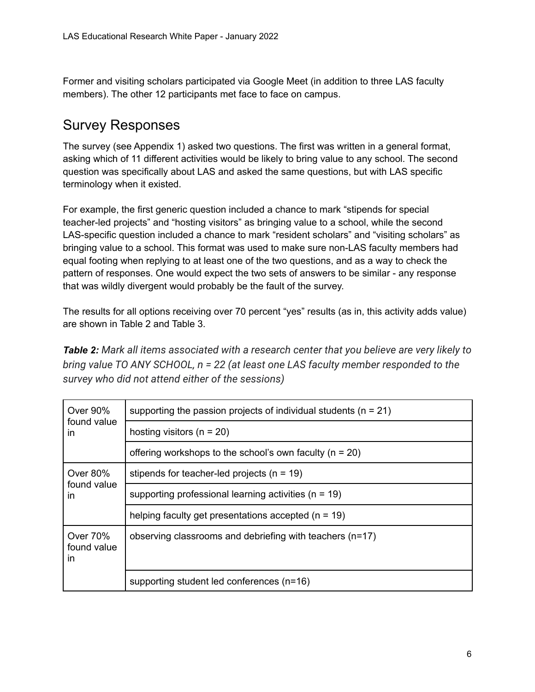Former and visiting scholars participated via Google Meet (in addition to three LAS faculty members). The other 12 participants met face to face on campus.

### <span id="page-5-0"></span>Survey Responses

The survey (see Appendix 1) asked two questions. The first was written in a general format, asking which of 11 different activities would be likely to bring value to any school. The second question was specifically about LAS and asked the same questions, but with LAS specific terminology when it existed.

For example, the first generic question included a chance to mark "stipends for special teacher-led projects" and "hosting visitors" as bringing value to a school, while the second LAS-specific question included a chance to mark "resident scholars" and "visiting scholars" as bringing value to a school. This format was used to make sure non-LAS faculty members had equal footing when replying to at least one of the two questions, and as a way to check the pattern of responses. One would expect the two sets of answers to be similar - any response that was wildly divergent would probably be the fault of the survey.

The results for all options receiving over 70 percent "yes" results (as in, this activity adds value) are shown in Table 2 and Table 3.

*Table 2: Mark all items associated with a research center that you believe are very likely to bring value TO ANY SCHOOL, n = 22 (at least one LAS faculty member responded to the survey who did not attend either of the sessions)*

| Over 90%                      | supporting the passion projects of individual students ( $n = 21$ ) |
|-------------------------------|---------------------------------------------------------------------|
| found value<br>in             | hosting visitors ( $n = 20$ )                                       |
|                               | offering workshops to the school's own faculty ( $n = 20$ )         |
| Over 80%                      | stipends for teacher-led projects ( $n = 19$ )                      |
| found value<br>in             | supporting professional learning activities ( $n = 19$ )            |
|                               | helping faculty get presentations accepted $(n = 19)$               |
| Over 70%<br>found value<br>in | observing classrooms and debriefing with teachers (n=17)            |
|                               | supporting student led conferences (n=16)                           |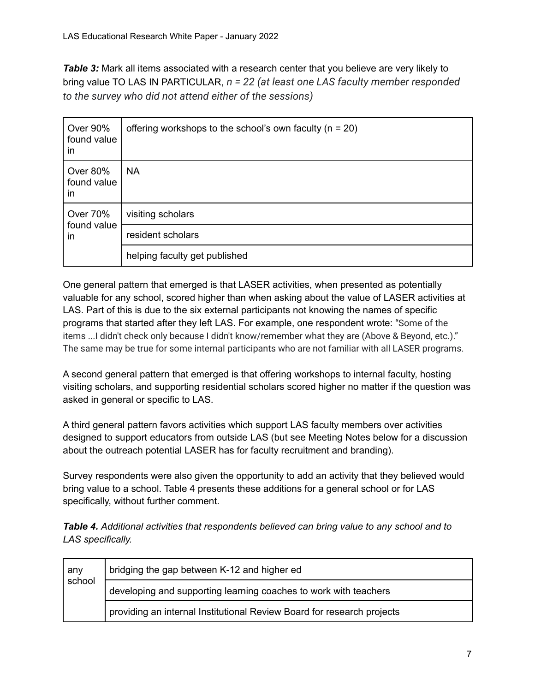**Table 3:** Mark all items associated with a research center that you believe are very likely to bring value TO LAS IN PARTICULAR, *n = 22 (at least one LAS faculty member responded to the survey who did not attend either of the sessions)*

| Over 90%<br>found value<br>in        | offering workshops to the school's own faculty ( $n = 20$ ) |
|--------------------------------------|-------------------------------------------------------------|
| <b>Over 80%</b><br>found value<br>in | <b>NA</b>                                                   |
| <b>Over 70%</b><br>found value<br>in | visiting scholars                                           |
|                                      | resident scholars                                           |
|                                      | helping faculty get published                               |

One general pattern that emerged is that LASER activities, when presented as potentially valuable for any school, scored higher than when asking about the value of LASER activities at LAS. Part of this is due to the six external participants not knowing the names of specific programs that started after they left LAS. For example, one respondent wrote: "Some of the items ...I didn't check only because I didn't know/remember what they are (Above & Beyond, etc.)." The same may be true for some internal participants who are not familiar with all LASER programs.

A second general pattern that emerged is that offering workshops to internal faculty, hosting visiting scholars, and supporting residential scholars scored higher no matter if the question was asked in general or specific to LAS.

A third general pattern favors activities which support LAS faculty members over activities designed to support educators from outside LAS (but see Meeting Notes below for a discussion about the outreach potential LASER has for faculty recruitment and branding).

Survey respondents were also given the opportunity to add an activity that they believed would bring value to a school. Table 4 presents these additions for a general school or for LAS specifically, without further comment.

*Table 4. Additional activities that respondents believed can bring value to any school and to LAS specifically.*

| any<br>school | bridging the gap between K-12 and higher ed                            |  |
|---------------|------------------------------------------------------------------------|--|
|               | developing and supporting learning coaches to work with teachers       |  |
|               | providing an internal Institutional Review Board for research projects |  |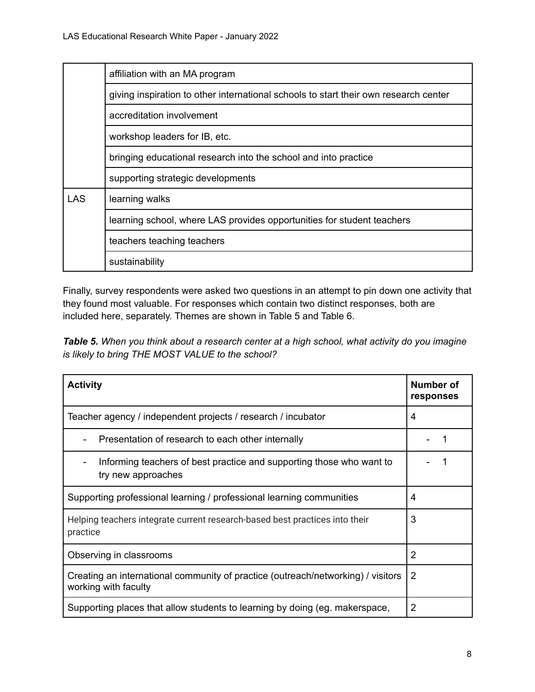|            | affiliation with an MA program                                                                       |  |  |
|------------|------------------------------------------------------------------------------------------------------|--|--|
|            | giving inspiration to other international schools to start their own research center                 |  |  |
|            | accreditation involvement                                                                            |  |  |
|            | workshop leaders for IB, etc.                                                                        |  |  |
|            | bringing educational research into the school and into practice<br>supporting strategic developments |  |  |
|            |                                                                                                      |  |  |
| <b>LAS</b> | learning walks                                                                                       |  |  |
|            | learning school, where LAS provides opportunities for student teachers                               |  |  |
|            | teachers teaching teachers                                                                           |  |  |
|            | sustainability                                                                                       |  |  |

Finally, survey respondents were asked two questions in an attempt to pin down one activity that they found most valuable. For responses which contain two distinct responses, both are included here, separately. Themes are shown in Table 5 and Table 6.

*Table 5. When you think about a research center at a high school, what activity do you imagine is likely to bring THE MOST VALUE to the school?*

| <b>Activity</b>                                                                                          | <b>Number of</b><br>responses |
|----------------------------------------------------------------------------------------------------------|-------------------------------|
| Teacher agency / independent projects / research / incubator                                             | 4                             |
| Presentation of research to each other internally                                                        |                               |
| Informing teachers of best practice and supporting those who want to<br>try new approaches               |                               |
| Supporting professional learning / professional learning communities                                     | 4                             |
| Helping teachers integrate current research-based best practices into their<br>practice                  | 3                             |
| Observing in classrooms                                                                                  | 2                             |
| Creating an international community of practice (outreach/networking) / visitors<br>working with faculty | $\overline{2}$                |
| Supporting places that allow students to learning by doing (eg. makerspace,                              | 2                             |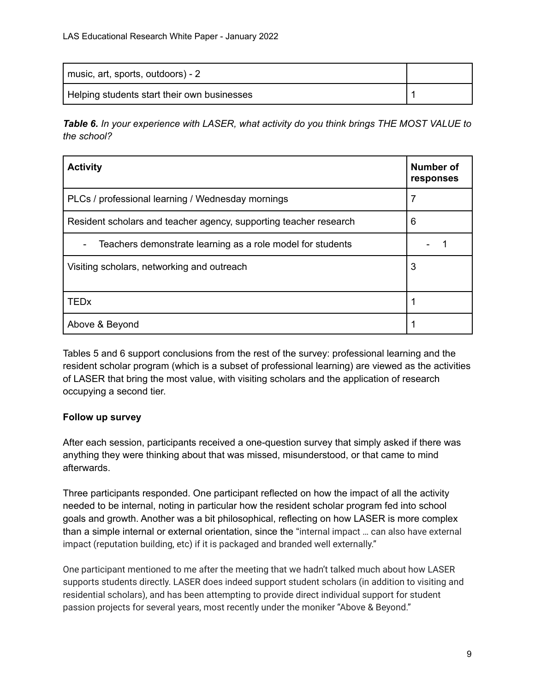| music, art, sports, outdoors) - 2           |  |
|---------------------------------------------|--|
| Helping students start their own businesses |  |

*Table 6. In your experience with LASER, what activity do you think brings THE MOST VALUE to the school?*

| <b>Activity</b>                                                   | <b>Number of</b><br>responses |
|-------------------------------------------------------------------|-------------------------------|
| PLCs / professional learning / Wednesday mornings                 | 7                             |
| Resident scholars and teacher agency, supporting teacher research | 6                             |
| Teachers demonstrate learning as a role model for students        |                               |
| Visiting scholars, networking and outreach                        | 3                             |
| <b>TEDx</b>                                                       |                               |
| Above & Beyond                                                    |                               |

Tables 5 and 6 support conclusions from the rest of the survey: professional learning and the resident scholar program (which is a subset of professional learning) are viewed as the activities of LASER that bring the most value, with visiting scholars and the application of research occupying a second tier.

#### **Follow up survey**

After each session, participants received a one-question survey that simply asked if there was anything they were thinking about that was missed, misunderstood, or that came to mind afterwards.

Three participants responded. One participant reflected on how the impact of all the activity needed to be internal, noting in particular how the resident scholar program fed into school goals and growth. Another was a bit philosophical, reflecting on how LASER is more complex than a simple internal or external orientation, since the "internal impact … can also have external impact (reputation building, etc) if it is packaged and branded well externally."

One participant mentioned to me after the meeting that we hadn't talked much about how LASER supports students directly. LASER does indeed support student scholars (in addition to visiting and residential scholars), and has been attempting to provide direct individual support for student passion projects for several years, most recently under the moniker "Above & Beyond."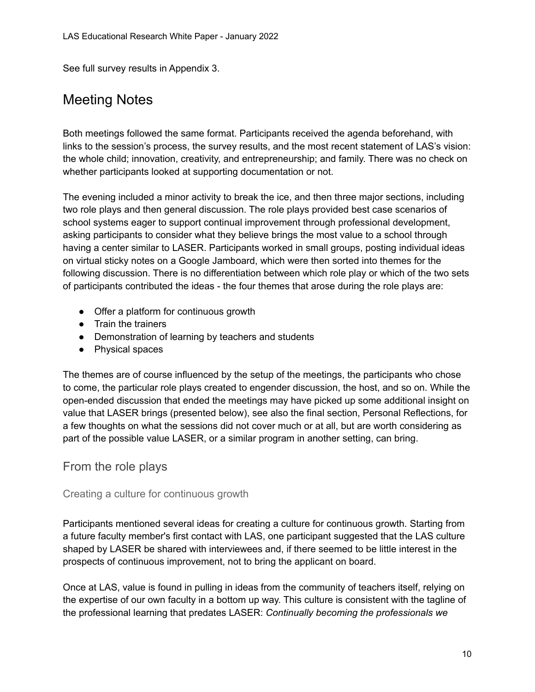<span id="page-9-0"></span>See full survey results in Appendix 3.

### Meeting Notes

Both meetings followed the same format. Participants received the agenda beforehand, with links to the session's process, the survey results, and the most recent statement of LAS's vision: the whole child; innovation, creativity, and entrepreneurship; and family. There was no check on whether participants looked at supporting documentation or not.

The evening included a minor activity to break the ice, and then three major sections, including two role plays and then general discussion. The role plays provided best case scenarios of school systems eager to support continual improvement through professional development, asking participants to consider what they believe brings the most value to a school through having a center similar to LASER. Participants worked in small groups, posting individual ideas on virtual sticky notes on a Google Jamboard, which were then sorted into themes for the following discussion. There is no differentiation between which role play or which of the two sets of participants contributed the ideas - the four themes that arose during the role plays are:

- Offer a platform for continuous growth
- Train the trainers
- Demonstration of learning by teachers and students
- Physical spaces

The themes are of course influenced by the setup of the meetings, the participants who chose to come, the particular role plays created to engender discussion, the host, and so on. While the open-ended discussion that ended the meetings may have picked up some additional insight on value that LASER brings (presented below), see also the final section, Personal Reflections, for a few thoughts on what the sessions did not cover much or at all, but are worth considering as part of the possible value LASER, or a similar program in another setting, can bring.

#### <span id="page-9-1"></span>From the role plays

#### <span id="page-9-2"></span>Creating a culture for continuous growth

Participants mentioned several ideas for creating a culture for continuous growth. Starting from a future faculty member's first contact with LAS, one participant suggested that the LAS culture shaped by LASER be shared with interviewees and, if there seemed to be little interest in the prospects of continuous improvement, not to bring the applicant on board.

Once at LAS, value is found in pulling in ideas from the community of teachers itself, relying on the expertise of our own faculty in a bottom up way. This culture is consistent with the tagline of the professional learning that predates LASER: *Continually becoming the professionals we*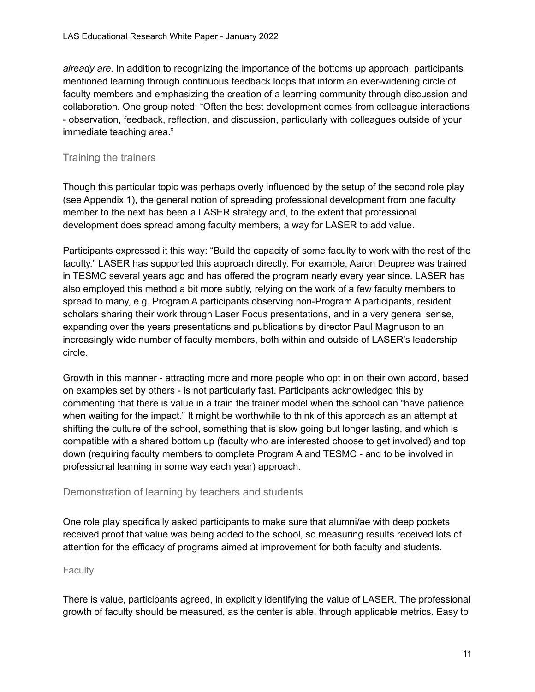*already are.* In addition to recognizing the importance of the bottoms up approach, participants mentioned learning through continuous feedback loops that inform an ever-widening circle of faculty members and emphasizing the creation of a learning community through discussion and collaboration. One group noted: "Often the best development comes from colleague interactions - observation, feedback, reflection, and discussion, particularly with colleagues outside of your immediate teaching area."

#### <span id="page-10-0"></span>Training the trainers

Though this particular topic was perhaps overly influenced by the setup of the second role play (see Appendix 1), the general notion of spreading professional development from one faculty member to the next has been a LASER strategy and, to the extent that professional development does spread among faculty members, a way for LASER to add value.

Participants expressed it this way: "Build the capacity of some faculty to work with the rest of the faculty." LASER has supported this approach directly. For example, Aaron Deupree was trained in TESMC several years ago and has offered the program nearly every year since. LASER has also employed this method a bit more subtly, relying on the work of a few faculty members to spread to many, e.g. Program A participants observing non-Program A participants, resident scholars sharing their work through Laser Focus presentations, and in a very general sense, expanding over the years presentations and publications by director Paul Magnuson to an increasingly wide number of faculty members, both within and outside of LASER's leadership circle.

Growth in this manner - attracting more and more people who opt in on their own accord, based on examples set by others - is not particularly fast. Participants acknowledged this by commenting that there is value in a train the trainer model when the school can "have patience when waiting for the impact." It might be worthwhile to think of this approach as an attempt at shifting the culture of the school, something that is slow going but longer lasting, and which is compatible with a shared bottom up (faculty who are interested choose to get involved) and top down (requiring faculty members to complete Program A and TESMC - and to be involved in professional learning in some way each year) approach.

#### <span id="page-10-1"></span>Demonstration of learning by teachers and students

One role play specifically asked participants to make sure that alumni/ae with deep pockets received proof that value was being added to the school, so measuring results received lots of attention for the efficacy of programs aimed at improvement for both faculty and students.

#### <span id="page-10-2"></span>Faculty

There is value, participants agreed, in explicitly identifying the value of LASER. The professional growth of faculty should be measured, as the center is able, through applicable metrics. Easy to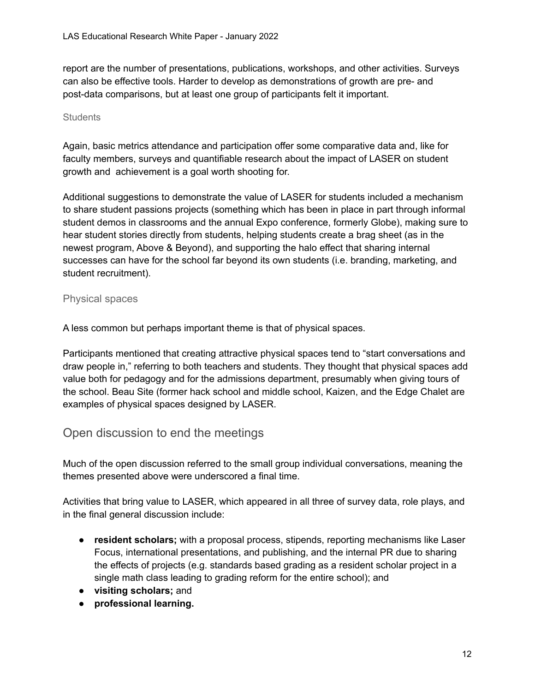report are the number of presentations, publications, workshops, and other activities. Surveys can also be effective tools. Harder to develop as demonstrations of growth are pre- and post-data comparisons, but at least one group of participants felt it important.

#### <span id="page-11-0"></span>**Students**

Again, basic metrics attendance and participation offer some comparative data and, like for faculty members, surveys and quantifiable research about the impact of LASER on student growth and achievement is a goal worth shooting for.

Additional suggestions to demonstrate the value of LASER for students included a mechanism to share student passions projects (something which has been in place in part through informal student demos in classrooms and the annual Expo conference, formerly Globe), making sure to hear student stories directly from students, helping students create a brag sheet (as in the newest program, Above & Beyond), and supporting the halo effect that sharing internal successes can have for the school far beyond its own students (i.e. branding, marketing, and student recruitment).

#### <span id="page-11-1"></span>Physical spaces

A less common but perhaps important theme is that of physical spaces.

Participants mentioned that creating attractive physical spaces tend to "start conversations and draw people in," referring to both teachers and students. They thought that physical spaces add value both for pedagogy and for the admissions department, presumably when giving tours of the school. Beau Site (former hack school and middle school, Kaizen, and the Edge Chalet are examples of physical spaces designed by LASER.

#### <span id="page-11-2"></span>Open discussion to end the meetings

Much of the open discussion referred to the small group individual conversations, meaning the themes presented above were underscored a final time.

Activities that bring value to LASER, which appeared in all three of survey data, role plays, and in the final general discussion include:

- **● resident scholars;** with a proposal process, stipends, reporting mechanisms like Laser Focus, international presentations, and publishing, and the internal PR due to sharing the effects of projects (e.g. standards based grading as a resident scholar project in a single math class leading to grading reform for the entire school); and
- **visiting scholars;** and
- **● professional learning.**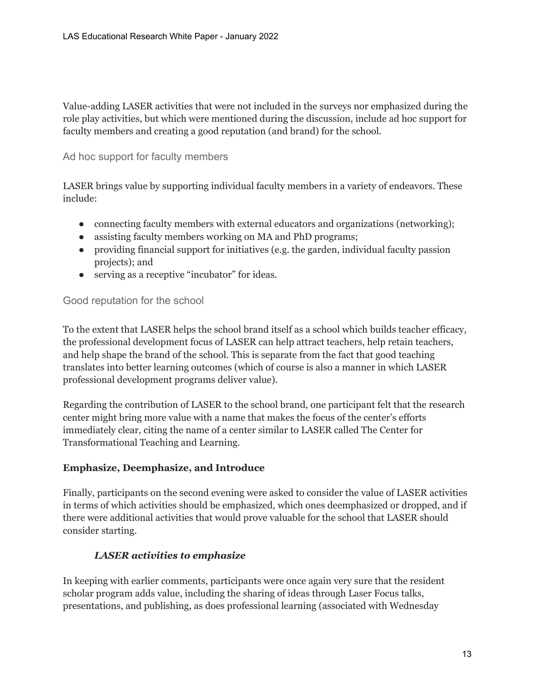Value-adding LASER activities that were not included in the surveys nor emphasized during the role play activities, but which were mentioned during the discussion, include ad hoc support for faculty members and creating a good reputation (and brand) for the school.

#### <span id="page-12-0"></span>Ad hoc support for faculty members

LASER brings value by supporting individual faculty members in a variety of endeavors. These include:

- connecting faculty members with external educators and organizations (networking);
- assisting faculty members working on MA and PhD programs;
- providing financial support for initiatives (e.g. the garden, individual faculty passion projects); and
- serving as a receptive "incubator" for ideas.

#### <span id="page-12-1"></span>Good reputation for the school

To the extent that LASER helps the school brand itself as a school which builds teacher efficacy, the professional development focus of LASER can help attract teachers, help retain teachers, and help shape the brand of the school. This is separate from the fact that good teaching translates into better learning outcomes (which of course is also a manner in which LASER professional development programs deliver value).

Regarding the contribution of LASER to the school brand, one participant felt that the research center might bring more value with a name that makes the focus of the center's efforts immediately clear, citing the name of a center similar to LASER called The Center for Transformational Teaching and Learning.

#### **Emphasize, Deemphasize, and Introduce**

Finally, participants on the second evening were asked to consider the value of LASER activities in terms of which activities should be emphasized, which ones deemphasized or dropped, and if there were additional activities that would prove valuable for the school that LASER should consider starting.

#### *LASER activities to emphasize*

In keeping with earlier comments, participants were once again very sure that the resident scholar program adds value, including the sharing of ideas through Laser Focus talks, presentations, and publishing, as does professional learning (associated with Wednesday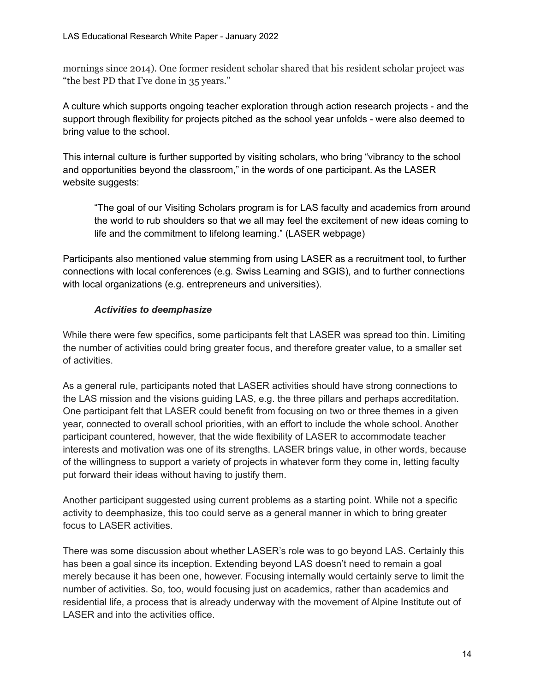mornings since 2014). One former resident scholar shared that his resident scholar project was "the best PD that I've done in 35 years."

A culture which supports ongoing teacher exploration through action research projects - and the support through flexibility for projects pitched as the school year unfolds - were also deemed to bring value to the school.

This internal culture is further supported by visiting scholars, who bring "vibrancy to the school and opportunities beyond the classroom," in the words of one participant. As the LASER website suggests:

"The goal of our Visiting Scholars program is for LAS faculty and academics from around the world to rub shoulders so that we all may feel the excitement of new ideas coming to life and the commitment to lifelong learning." (LASER webpage)

Participants also mentioned value stemming from using LASER as a recruitment tool, to further connections with local conferences (e.g. Swiss Learning and SGIS), and to further connections with local organizations (e.g. entrepreneurs and universities).

#### *Activities to deemphasize*

While there were few specifics, some participants felt that LASER was spread too thin. Limiting the number of activities could bring greater focus, and therefore greater value, to a smaller set of activities.

As a general rule, participants noted that LASER activities should have strong connections to the LAS mission and the visions guiding LAS, e.g. the three pillars and perhaps accreditation. One participant felt that LASER could benefit from focusing on two or three themes in a given year, connected to overall school priorities, with an effort to include the whole school. Another participant countered, however, that the wide flexibility of LASER to accommodate teacher interests and motivation was one of its strengths. LASER brings value, in other words, because of the willingness to support a variety of projects in whatever form they come in, letting faculty put forward their ideas without having to justify them.

Another participant suggested using current problems as a starting point. While not a specific activity to deemphasize, this too could serve as a general manner in which to bring greater focus to LASER activities.

There was some discussion about whether LASER's role was to go beyond LAS. Certainly this has been a goal since its inception. Extending beyond LAS doesn't need to remain a goal merely because it has been one, however. Focusing internally would certainly serve to limit the number of activities. So, too, would focusing just on academics, rather than academics and residential life, a process that is already underway with the movement of Alpine Institute out of LASER and into the activities office.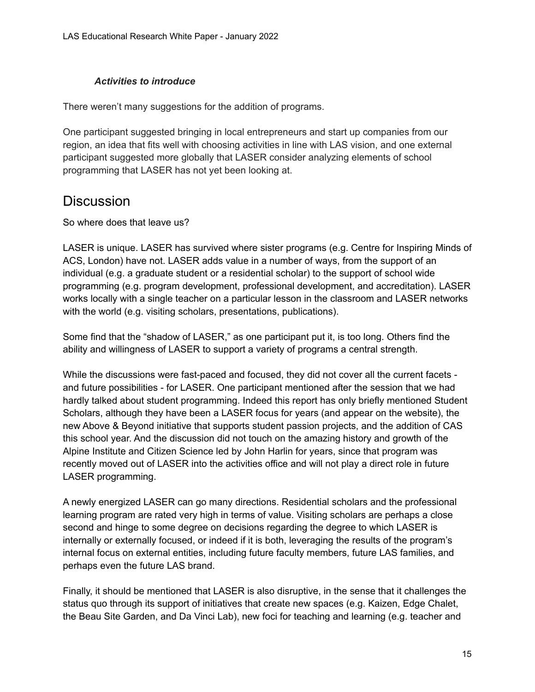#### *Activities to introduce*

There weren't many suggestions for the addition of programs.

One participant suggested bringing in local entrepreneurs and start up companies from our region, an idea that fits well with choosing activities in line with LAS vision, and one external participant suggested more globally that LASER consider analyzing elements of school programming that LASER has not yet been looking at.

### <span id="page-14-0"></span>**Discussion**

So where does that leave us?

LASER is unique. LASER has survived where sister programs (e.g. Centre for Inspiring Minds of ACS, London) have not. LASER adds value in a number of ways, from the support of an individual (e.g. a graduate student or a residential scholar) to the support of school wide programming (e.g. program development, professional development, and accreditation). LASER works locally with a single teacher on a particular lesson in the classroom and LASER networks with the world (e.g. visiting scholars, presentations, publications).

Some find that the "shadow of LASER," as one participant put it, is too long. Others find the ability and willingness of LASER to support a variety of programs a central strength.

While the discussions were fast-paced and focused, they did not cover all the current facets and future possibilities - for LASER. One participant mentioned after the session that we had hardly talked about student programming. Indeed this report has only briefly mentioned Student Scholars, although they have been a LASER focus for years (and appear on the website), the new Above & Beyond initiative that supports student passion projects, and the addition of CAS this school year. And the discussion did not touch on the amazing history and growth of the Alpine Institute and Citizen Science led by John Harlin for years, since that program was recently moved out of LASER into the activities office and will not play a direct role in future LASER programming.

A newly energized LASER can go many directions. Residential scholars and the professional learning program are rated very high in terms of value. Visiting scholars are perhaps a close second and hinge to some degree on decisions regarding the degree to which LASER is internally or externally focused, or indeed if it is both, leveraging the results of the program's internal focus on external entities, including future faculty members, future LAS families, and perhaps even the future LAS brand.

Finally, it should be mentioned that LASER is also disruptive, in the sense that it challenges the status quo through its support of initiatives that create new spaces (e.g. Kaizen, Edge Chalet, the Beau Site Garden, and Da Vinci Lab), new foci for teaching and learning (e.g. teacher and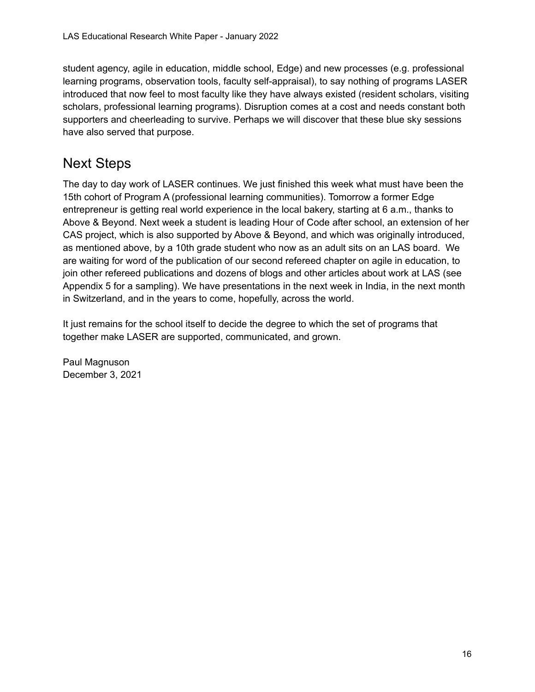student agency, agile in education, middle school, Edge) and new processes (e.g. professional learning programs, observation tools, faculty self-appraisal), to say nothing of programs LASER introduced that now feel to most faculty like they have always existed (resident scholars, visiting scholars, professional learning programs). Disruption comes at a cost and needs constant both supporters and cheerleading to survive. Perhaps we will discover that these blue sky sessions have also served that purpose.

### <span id="page-15-0"></span>Next Steps

The day to day work of LASER continues. We just finished this week what must have been the 15th cohort of Program A (professional learning communities). Tomorrow a former Edge entrepreneur is getting real world experience in the local bakery, starting at 6 a.m., thanks to Above & Beyond. Next week a student is leading Hour of Code after school, an extension of her CAS project, which is also supported by Above & Beyond, and which was originally introduced, as mentioned above, by a 10th grade student who now as an adult sits on an LAS board. We are waiting for word of the publication of our second refereed chapter on agile in education, to join other refereed publications and dozens of blogs and other articles about work at LAS (see Appendix 5 for a sampling). We have presentations in the next week in India, in the next month in Switzerland, and in the years to come, hopefully, across the world.

It just remains for the school itself to decide the degree to which the set of programs that together make LASER are supported, communicated, and grown.

Paul Magnuson December 3, 2021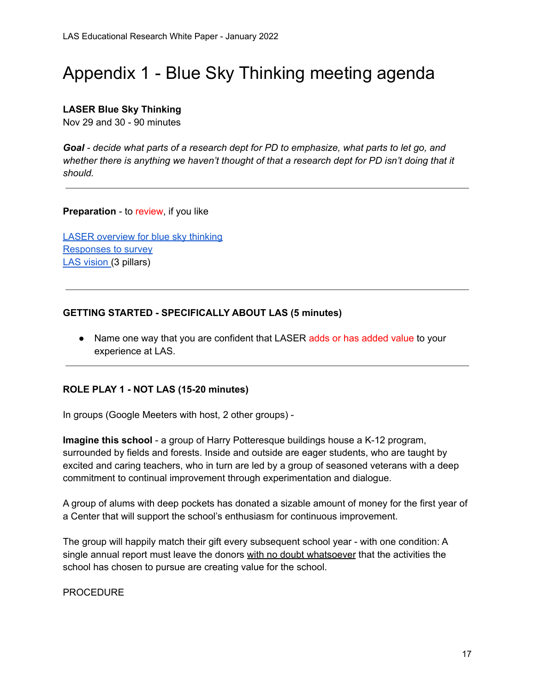## <span id="page-16-0"></span>Appendix 1 - Blue Sky Thinking meeting agenda

#### **LASER Blue Sky Thinking**

Nov 29 and 30 - 90 minutes

*Goal - decide what parts of a research dept for PD to emphasize, what parts to let go, and whether there is anything we haven't thought of that a research dept for PD isn't doing that it should.*

**Preparation** - to review, if you like

LASER [overview](https://docs.google.com/document/d/17EZYejDLa9SnegTZKeVgw_M50JvpW-3gbYllhisVGCI/edit) for blue sky thinking [Responses](https://docs.google.com/forms/d/1HY6t4hfCNQZRksQj2BcmN46JbstHVgWE3ZCYcZWA4q4/edit#responses) to survey LAS [vision](https://docs.google.com/presentation/d/1NRwZBpSFNWMCsf5kJUQkJr-yjndXljV9D8AxukYBSGA/edit#slide=id.gd0760128e5_0_7) [\(](https://docs.google.com/presentation/d/1_abNtzYWY3C45BsoHELyqczvYVwyjdcNn9QFUxotXU4/edit#slide=id.gcbf7e936a6_0_10)3 pillars)

#### **GETTING STARTED - SPECIFICALLY ABOUT LAS (5 minutes)**

• Name one way that you are confident that LASER adds or has added value to your experience at LAS.

#### **ROLE PLAY 1 - NOT LAS (15-20 minutes)**

In groups (Google Meeters with host, 2 other groups) -

**Imagine this school** - a group of Harry Potteresque buildings house a K-12 program, surrounded by fields and forests. Inside and outside are eager students, who are taught by excited and caring teachers, who in turn are led by a group of seasoned veterans with a deep commitment to continual improvement through experimentation and dialogue.

A group of alums with deep pockets has donated a sizable amount of money for the first year of a Center that will support the school's enthusiasm for continuous improvement.

The group will happily match their gift every subsequent school year - with one condition: A single annual report must leave the donors with no doubt whatsoever that the activities the school has chosen to pursue are creating value for the school.

PROCEDURE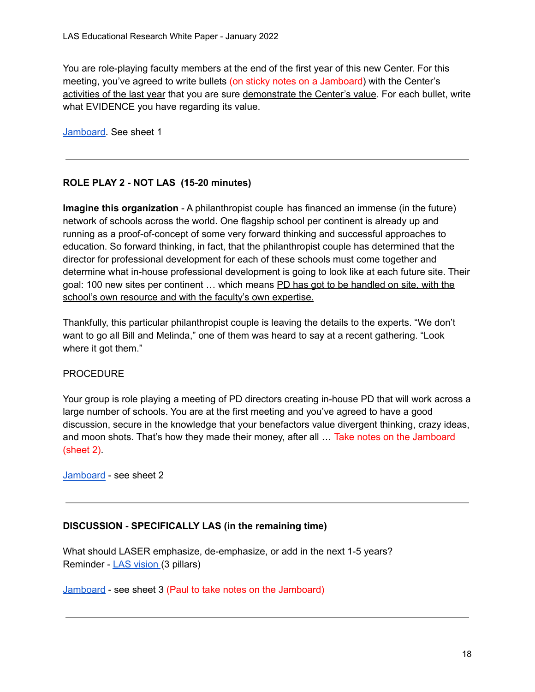You are role-playing faculty members at the end of the first year of this new Center. For this meeting, you've agreed to write bullets (on sticky notes on a Jamboard) with the Center's activities of the last year that you are sure demonstrate the Center's value. For each bullet, write what EVIDENCE you have regarding its value.

[Jamboard.](https://jamboard.google.com/d/1qrB091yNcdJkOhZpP9WJkqwt0X8pwgBOwG8F7Rmity0/viewer?f=1) See sheet 1

#### **ROLE PLAY 2 - NOT LAS (15-20 minutes)**

**Imagine this organization** - A philanthropist couple has financed an immense (in the future) network of schools across the world. One flagship school per continent is already up and running as a proof-of-concept of some very forward thinking and successful approaches to education. So forward thinking, in fact, that the philanthropist couple has determined that the director for professional development for each of these schools must come together and determine what in-house professional development is going to look like at each future site. Their goal: 100 new sites per continent ... which means PD has got to be handled on site, with the school's own resource and with the faculty's own expertise.

Thankfully, this particular philanthropist couple is leaving the details to the experts. "We don't want to go all Bill and Melinda," one of them was heard to say at a recent gathering. "Look where it got them."

#### PROCEDURE

Your group is role playing a meeting of PD directors creating in-house PD that will work across a large number of schools. You are at the first meeting and you've agreed to have a good discussion, secure in the knowledge that your benefactors value divergent thinking, crazy ideas, and moon shots. That's how they made their money, after all … Take notes on the Jamboard (sheet 2).

[Jamboard](https://jamboard.google.com/d/1qrB091yNcdJkOhZpP9WJkqwt0X8pwgBOwG8F7Rmity0/viewer?f=1) - see sheet 2

#### **DISCUSSION - SPECIFICALLY LAS (in the remaining time)**

What should LASER emphasize, de-emphasize, or add in the next 1-5 years? Reminder - LAS [vision](https://docs.google.com/presentation/d/1_abNtzYWY3C45BsoHELyqczvYVwyjdcNn9QFUxotXU4/edit#slide=id.gcbf7e936a6_0_10) (3 pillars)

[Jamboard](https://jamboard.google.com/d/1qrB091yNcdJkOhZpP9WJkqwt0X8pwgBOwG8F7Rmity0/viewer?f=1) - see sheet 3 (Paul to take notes on the Jamboard)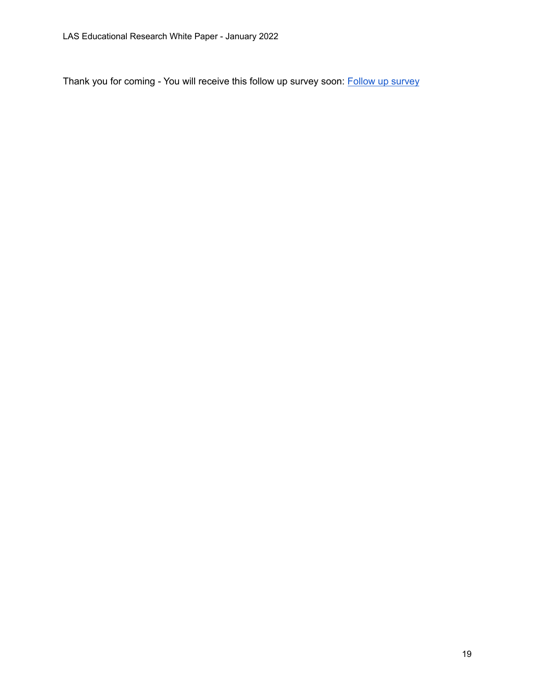Thank you for coming - You will receive this follow up [survey](https://docs.google.com/forms/d/1jwLqKOlqMMPyLAJn0W7V18Lt9eeoZEEADPevF5t5J-Q/edit) soon: Follow up survey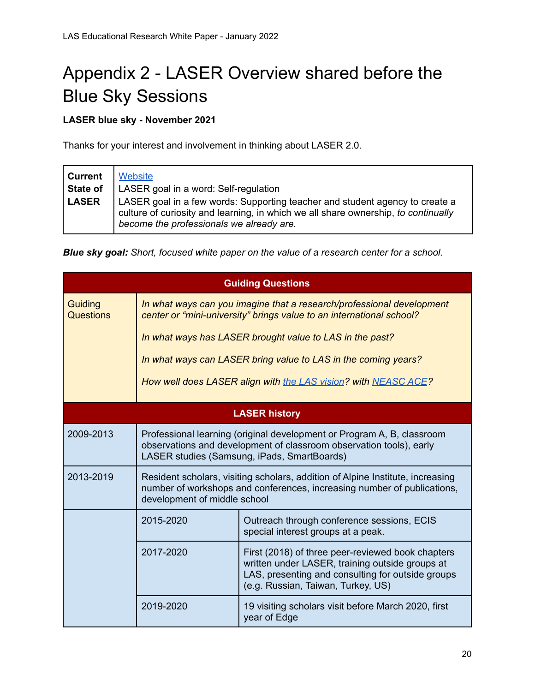## <span id="page-19-0"></span>Appendix 2 - LASER Overview shared before the Blue Sky Sessions

#### **LASER blue sky - November 2021**

Thanks for your interest and involvement in thinking about LASER 2.0.

| Current      | <b>Website</b>                                                                                                                                                                                                 |
|--------------|----------------------------------------------------------------------------------------------------------------------------------------------------------------------------------------------------------------|
| State of     | LASER goal in a word: Self-regulation                                                                                                                                                                          |
| <b>LASER</b> | LASER goal in a few words: Supporting teacher and student agency to create a<br>culture of curiosity and learning, in which we all share ownership, to continually<br>become the professionals we already are. |

*Blue sky goal: Short, focused white paper on the value of a research center for a school.*

| <b>Guiding Questions</b> |                                                                                                                                                                                              |                                                                                                                                                                                                 |
|--------------------------|----------------------------------------------------------------------------------------------------------------------------------------------------------------------------------------------|-------------------------------------------------------------------------------------------------------------------------------------------------------------------------------------------------|
| Guiding<br>Questions     | In what ways can you imagine that a research/professional development<br>center or "mini-university" brings value to an international school?                                                |                                                                                                                                                                                                 |
|                          | In what ways has LASER brought value to LAS in the past?                                                                                                                                     |                                                                                                                                                                                                 |
|                          | In what ways can LASER bring value to LAS in the coming years?                                                                                                                               |                                                                                                                                                                                                 |
|                          |                                                                                                                                                                                              | How well does LASER align with the LAS vision? with NEASC ACE?                                                                                                                                  |
|                          |                                                                                                                                                                                              | <b>LASER history</b>                                                                                                                                                                            |
| 2009-2013                | Professional learning (original development or Program A, B, classroom<br>observations and development of classroom observation tools), early<br>LASER studies (Samsung, iPads, SmartBoards) |                                                                                                                                                                                                 |
| 2013-2019                | Resident scholars, visiting scholars, addition of Alpine Institute, increasing<br>number of workshops and conferences, increasing number of publications,<br>development of middle school    |                                                                                                                                                                                                 |
|                          | 2015-2020                                                                                                                                                                                    | Outreach through conference sessions, ECIS<br>special interest groups at a peak.                                                                                                                |
|                          | 2017-2020                                                                                                                                                                                    | First (2018) of three peer-reviewed book chapters<br>written under LASER, training outside groups at<br>LAS, presenting and consulting for outside groups<br>(e.g. Russian, Taiwan, Turkey, US) |
|                          | 2019-2020                                                                                                                                                                                    | 19 visiting scholars visit before March 2020, first<br>year of Edge                                                                                                                             |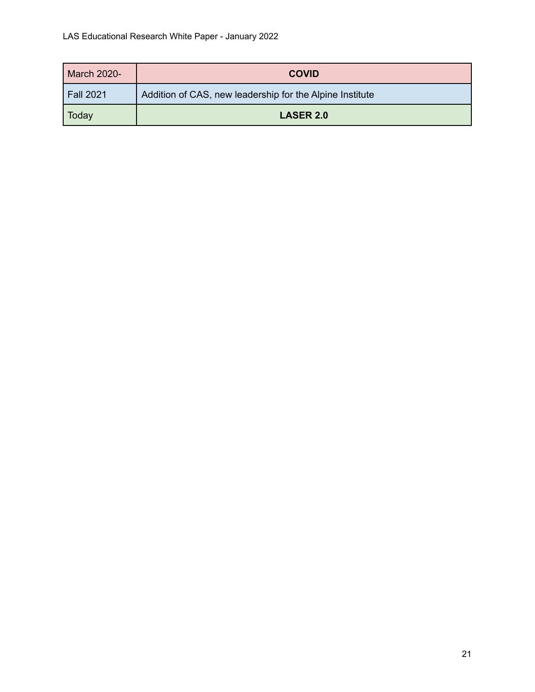| <b>March 2020-</b> | <b>COVID</b>                                             |
|--------------------|----------------------------------------------------------|
| <b>Fall 2021</b>   | Addition of CAS, new leadership for the Alpine Institute |
| Today              | <b>LASER 2.0</b>                                         |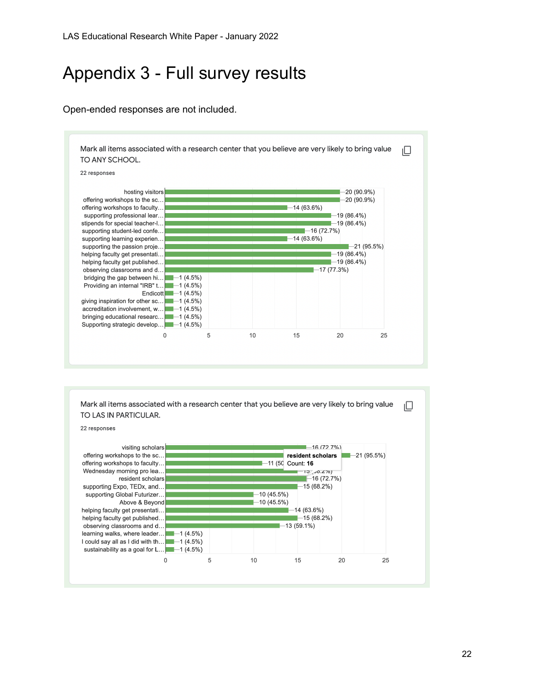### <span id="page-21-0"></span>Appendix 3 - Full survey results

#### Open-ended responses are not included.



Mark all items associated with a research center that you believe are very likely to bring value TO LAS IN PARTICULAR.



22

ıО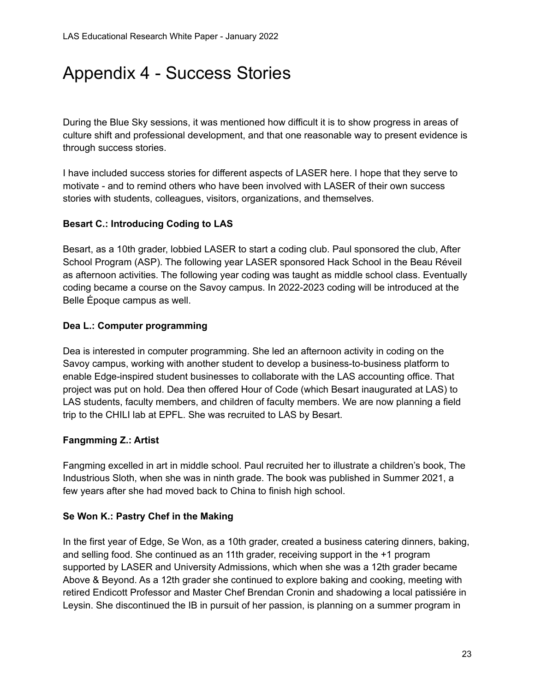### <span id="page-22-0"></span>Appendix 4 - Success Stories

During the Blue Sky sessions, it was mentioned how difficult it is to show progress in areas of culture shift and professional development, and that one reasonable way to present evidence is through success stories.

I have included success stories for different aspects of LASER here. I hope that they serve to motivate - and to remind others who have been involved with LASER of their own success stories with students, colleagues, visitors, organizations, and themselves.

#### **Besart C.: Introducing Coding to LAS**

Besart, as a 10th grader, lobbied LASER to start a coding club. Paul sponsored the club, After School Program (ASP). The following year LASER sponsored Hack School in the Beau Réveil as afternoon activities. The following year coding was taught as middle school class. Eventually coding became a course on the Savoy campus. In 2022-2023 coding will be introduced at the Belle Époque campus as well.

#### **Dea L.: Computer programming**

Dea is interested in computer programming. She led an afternoon activity in coding on the Savoy campus, working with another student to develop a business-to-business platform to enable Edge-inspired student businesses to collaborate with the LAS accounting office. That project was put on hold. Dea then offered Hour of Code (which Besart inaugurated at LAS) to LAS students, faculty members, and children of faculty members. We are now planning a field trip to the CHILI lab at EPFL. She was recruited to LAS by Besart.

#### **Fangmming Z.: Artist**

Fangming excelled in art in middle school. Paul recruited her to illustrate a children's book, The Industrious Sloth, when she was in ninth grade. The book was published in Summer 2021, a few years after she had moved back to China to finish high school.

#### **Se Won K.: Pastry Chef in the Making**

In the first year of Edge, Se Won, as a 10th grader, created a business catering dinners, baking, and selling food. She continued as an 11th grader, receiving support in the +1 program supported by LASER and University Admissions, which when she was a 12th grader became Above & Beyond. As a 12th grader she continued to explore baking and cooking, meeting with retired Endicott Professor and Master Chef Brendan Cronin and shadowing a local patissiére in Leysin. She discontinued the IB in pursuit of her passion, is planning on a summer program in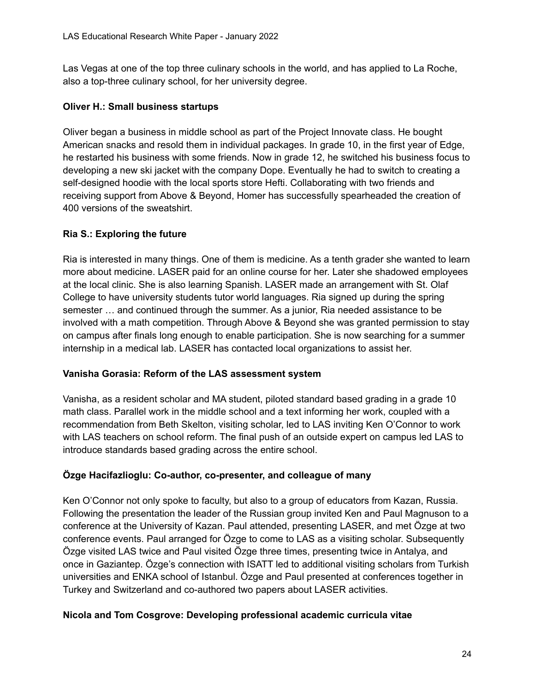Las Vegas at one of the top three culinary schools in the world, and has applied to La Roche, also a top-three culinary school, for her university degree.

#### **Oliver H.: Small business startups**

Oliver began a business in middle school as part of the Project Innovate class. He bought American snacks and resold them in individual packages. In grade 10, in the first year of Edge, he restarted his business with some friends. Now in grade 12, he switched his business focus to developing a new ski jacket with the company Dope. Eventually he had to switch to creating a self-designed hoodie with the local sports store Hefti. Collaborating with two friends and receiving support from Above & Beyond, Homer has successfully spearheaded the creation of 400 versions of the sweatshirt.

#### **Ria S.: Exploring the future**

Ria is interested in many things. One of them is medicine. As a tenth grader she wanted to learn more about medicine. LASER paid for an online course for her. Later she shadowed employees at the local clinic. She is also learning Spanish. LASER made an arrangement with St. Olaf College to have university students tutor world languages. Ria signed up during the spring semester … and continued through the summer. As a junior, Ria needed assistance to be involved with a math competition. Through Above & Beyond she was granted permission to stay on campus after finals long enough to enable participation. She is now searching for a summer internship in a medical lab. LASER has contacted local organizations to assist her.

#### **Vanisha Gorasia: Reform of the LAS assessment system**

Vanisha, as a resident scholar and MA student, piloted standard based grading in a grade 10 math class. Parallel work in the middle school and a text informing her work, coupled with a recommendation from Beth Skelton, visiting scholar, led to LAS inviting Ken O'Connor to work with LAS teachers on school reform. The final push of an outside expert on campus led LAS to introduce standards based grading across the entire school.

#### **Özge Hacifazlioglu: Co-author, co-presenter, and colleague of many**

Ken O'Connor not only spoke to faculty, but also to a group of educators from Kazan, Russia. Following the presentation the leader of the Russian group invited Ken and Paul Magnuson to a conference at the University of Kazan. Paul attended, presenting LASER, and met Özge at two conference events. Paul arranged for Özge to come to LAS as a visiting scholar. Subsequently Özge visited LAS twice and Paul visited Özge three times, presenting twice in Antalya, and once in Gaziantep. Özge's connection with ISATT led to additional visiting scholars from Turkish universities and ENKA school of Istanbul. Özge and Paul presented at conferences together in Turkey and Switzerland and co-authored two papers about LASER activities.

#### **Nicola and Tom Cosgrove: Developing professional academic curricula vitae**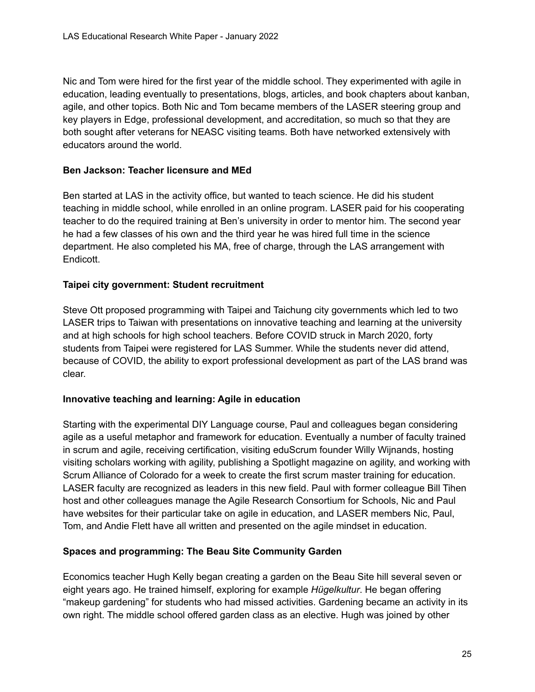Nic and Tom were hired for the first year of the middle school. They experimented with agile in education, leading eventually to presentations, blogs, articles, and book chapters about kanban, agile, and other topics. Both Nic and Tom became members of the LASER steering group and key players in Edge, professional development, and accreditation, so much so that they are both sought after veterans for NEASC visiting teams. Both have networked extensively with educators around the world.

#### **Ben Jackson: Teacher licensure and MEd**

Ben started at LAS in the activity office, but wanted to teach science. He did his student teaching in middle school, while enrolled in an online program. LASER paid for his cooperating teacher to do the required training at Ben's university in order to mentor him. The second year he had a few classes of his own and the third year he was hired full time in the science department. He also completed his MA, free of charge, through the LAS arrangement with Endicott.

#### **Taipei city government: Student recruitment**

Steve Ott proposed programming with Taipei and Taichung city governments which led to two LASER trips to Taiwan with presentations on innovative teaching and learning at the university and at high schools for high school teachers. Before COVID struck in March 2020, forty students from Taipei were registered for LAS Summer. While the students never did attend, because of COVID, the ability to export professional development as part of the LAS brand was clear.

#### **Innovative teaching and learning: Agile in education**

Starting with the experimental DIY Language course, Paul and colleagues began considering agile as a useful metaphor and framework for education. Eventually a number of faculty trained in scrum and agile, receiving certification, visiting eduScrum founder Willy Wijnands, hosting visiting scholars working with agility, publishing a Spotlight magazine on agility, and working with Scrum Alliance of Colorado for a week to create the first scrum master training for education. LASER faculty are recognized as leaders in this new field. Paul with former colleague Bill Tihen host and other colleagues manage the Agile Research Consortium for Schools, Nic and Paul have websites for their particular take on agile in education, and LASER members Nic, Paul, Tom, and Andie Flett have all written and presented on the agile mindset in education.

#### **Spaces and programming: The Beau Site Community Garden**

Economics teacher Hugh Kelly began creating a garden on the Beau Site hill several seven or eight years ago. He trained himself, exploring for example *Hügelkultur*. He began offering "makeup gardening" for students who had missed activities. Gardening became an activity in its own right. The middle school offered garden class as an elective. Hugh was joined by other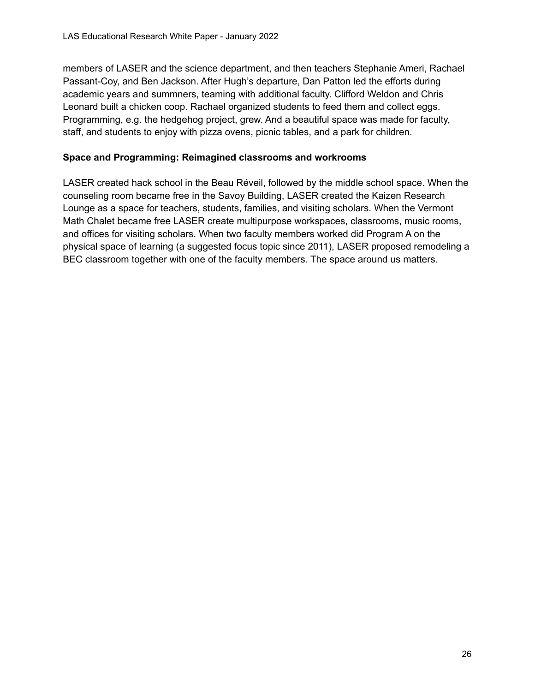members of LASER and the science department, and then teachers Stephanie Ameri, Rachael Passant-Coy, and Ben Jackson. After Hugh's departure, Dan Patton led the efforts during academic years and summners, teaming with additional faculty. Clifford Weldon and Chris Leonard built a chicken coop. Rachael organized students to feed them and collect eggs. Programming, e.g. the hedgehog project, grew. And a beautiful space was made for faculty, staff, and students to enjoy with pizza ovens, picnic tables, and a park for children.

#### **Space and Programming: Reimagined classrooms and workrooms**

LASER created hack school in the Beau Réveil, followed by the middle school space. When the counseling room became free in the Savoy Building, LASER created the Kaizen Research Lounge as a space for teachers, students, families, and visiting scholars. When the Vermont Math Chalet became free LASER create multipurpose workspaces, classrooms, music rooms, and offices for visiting scholars. When two faculty members worked did Program A on the physical space of learning (a suggested focus topic since 2011), LASER proposed remodeling a BEC classroom together with one of the faculty members. The space around us matters.